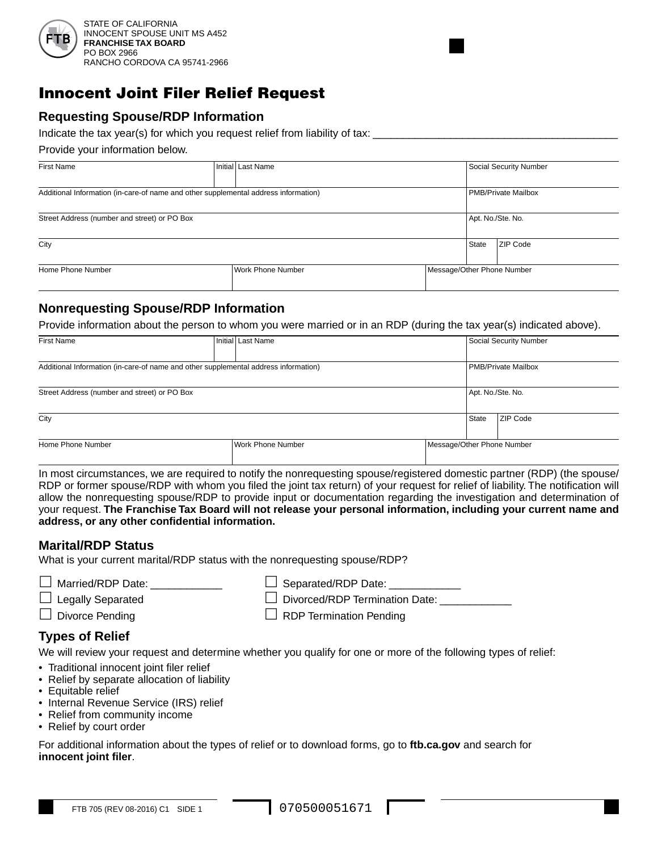

# Innocent Joint Filer Relief Request

# **Requesting Spouse/RDP Information**

Indicate the tax year(s) for which you request relief from liability of tax:

Provide your information below.

| <b>First Name</b>                                                                   |  | Initial Last Name        |  |                            | Social Security Number     |  |
|-------------------------------------------------------------------------------------|--|--------------------------|--|----------------------------|----------------------------|--|
| Additional Information (in-care-of name and other supplemental address information) |  |                          |  |                            | <b>PMB/Private Mailbox</b> |  |
| Street Address (number and street) or PO Box                                        |  |                          |  | Apt. No./Ste. No.          |                            |  |
| City                                                                                |  |                          |  | State                      | ZIP Code                   |  |
| Home Phone Number                                                                   |  | <b>Work Phone Number</b> |  | Message/Other Phone Number |                            |  |

# **Nonrequesting Spouse/RDP Information**

Provide information about the person to whom you were married or in an RDP (during the tax year(s) indicated above).

| <b>First Name</b>                                                                   |  | Initial   Last Name |                            |                            | Social Security Number |  |
|-------------------------------------------------------------------------------------|--|---------------------|----------------------------|----------------------------|------------------------|--|
|                                                                                     |  |                     |                            |                            |                        |  |
| Additional Information (in-care-of name and other supplemental address information) |  |                     |                            | <b>PMB/Private Mailbox</b> |                        |  |
|                                                                                     |  |                     |                            |                            |                        |  |
| Street Address (number and street) or PO Box                                        |  |                     |                            |                            | Apt. No./Ste. No.      |  |
|                                                                                     |  |                     |                            |                            |                        |  |
| City                                                                                |  |                     | State                      | ZIP Code                   |                        |  |
|                                                                                     |  |                     |                            |                            |                        |  |
| Home Phone Number                                                                   |  | Work Phone Number   | Message/Other Phone Number |                            |                        |  |
|                                                                                     |  |                     |                            |                            |                        |  |

In most circumstances, we are required to notify the nonrequesting spouse/registered domestic partner (RDP) (the spouse/ RDP or former spouse/RDP with whom you filed the joint tax return) of your request for relief of liability. The notification will allow the nonrequesting spouse/RDP to provide input or documentation regarding the investigation and determination of your request. **The Franchise Tax Board will not release your personal information, including your current name and address, or any other confidential information.**

## **Marital/RDP Status**

What is your current marital/RDP status with the nonrequesting spouse/RDP?

| $\Box$ Married/RDP Date: | $\Box$ Separated/RDP Date:            |
|--------------------------|---------------------------------------|
| $\Box$ Legally Separated | $\Box$ Divorced/RDP Termination Date: |
| $\Box$ Divorce Pending   | $\Box$ RDP Termination Pending        |

## **Types of Relief**

We will review your request and determine whether you qualify for one or more of the following types of relief:

- Traditional innocent joint filer relief
- Relief by separate allocation of liability
- Equitable relief
- Internal Revenue Service (IRS) relief
- Relief from community income
- Relief by court order

For additional information about the types of relief or to download forms, go to **ftb.ca.gov** and search for **innocent joint filer**.